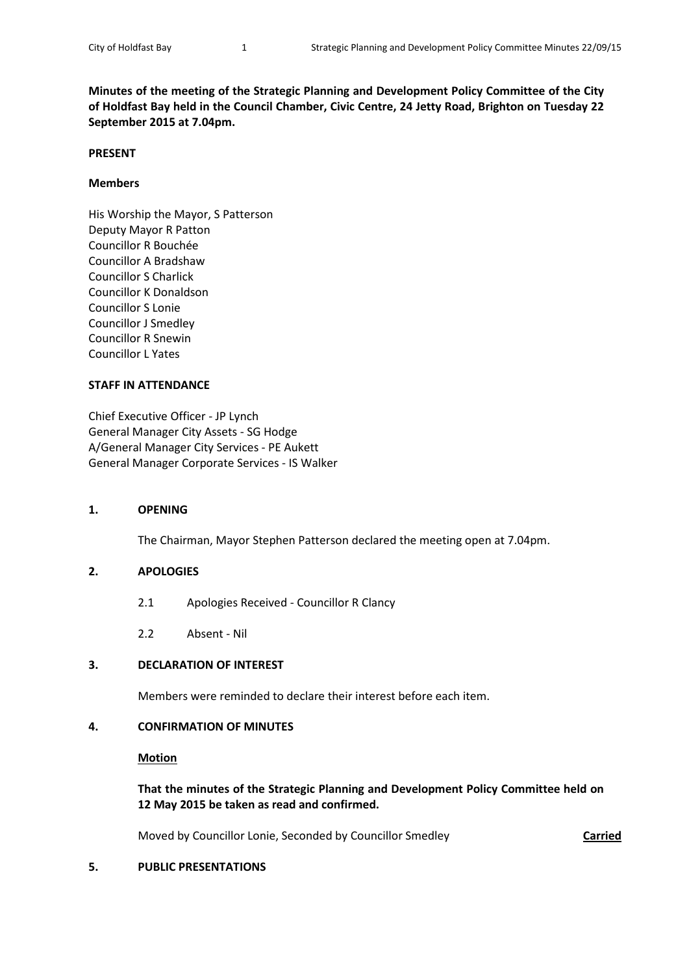**Minutes of the meeting of the Strategic Planning and Development Policy Committee of the City of Holdfast Bay held in the Council Chamber, Civic Centre, 24 Jetty Road, Brighton on Tuesday 22 September 2015 at 7.04pm.**

#### **PRESENT**

#### **Members**

His Worship the Mayor, S Patterson Deputy Mayor R Patton Councillor R Bouchée Councillor A Bradshaw Councillor S Charlick Councillor K Donaldson Councillor S Lonie Councillor J Smedley Councillor R Snewin Councillor L Yates

#### **STAFF IN ATTENDANCE**

Chief Executive Officer - JP Lynch General Manager City Assets - SG Hodge A/General Manager City Services - PE Aukett General Manager Corporate Services - IS Walker

#### **1. OPENING**

The Chairman, Mayor Stephen Patterson declared the meeting open at 7.04pm.

#### **2. APOLOGIES**

- 2.1 Apologies Received Councillor R Clancy
- 2.2 Absent Nil

#### **3. DECLARATION OF INTEREST**

Members were reminded to declare their interest before each item.

### **4. CONFIRMATION OF MINUTES**

**Motion**

### **That the minutes of the Strategic Planning and Development Policy Committee held on 12 May 2015 be taken as read and confirmed.**

Moved by Councillor Lonie, Seconded by Councillor Smedley **Carried**

#### **5. PUBLIC PRESENTATIONS**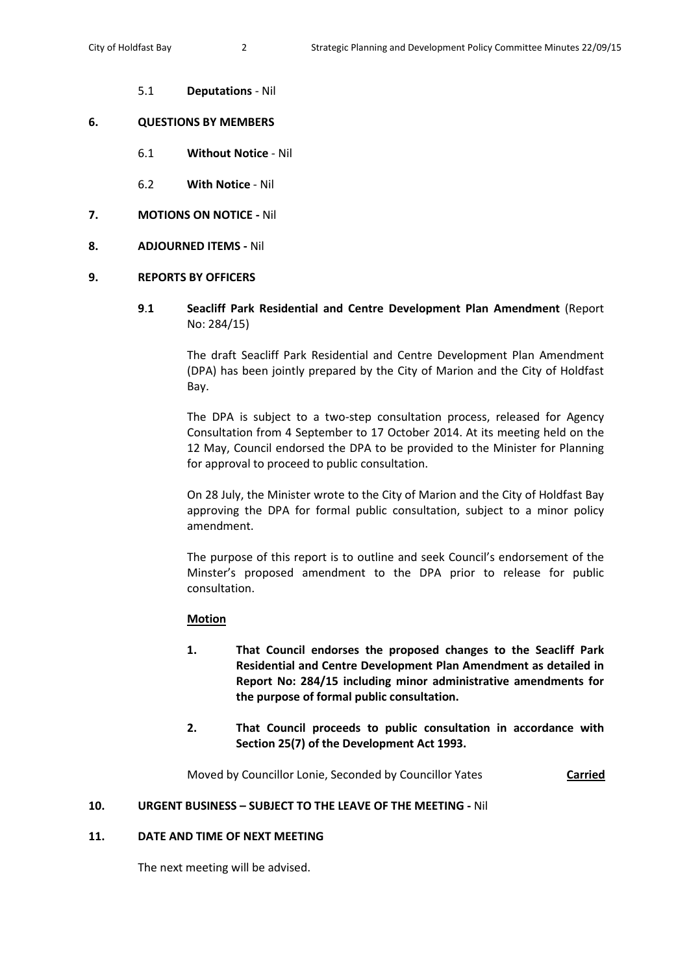5.1 **Deputations** - Nil

## **6. QUESTIONS BY MEMBERS**

- 6.1 **Without Notice** Nil
- 6.2 **With Notice** Nil
- **7. MOTIONS ON NOTICE -** Nil
- **8. ADJOURNED ITEMS -** Nil

## **9. REPORTS BY OFFICERS**

**9**.**1 Seacliff Park Residential and Centre Development Plan Amendment** (Report No: 284/15)

> The draft Seacliff Park Residential and Centre Development Plan Amendment (DPA) has been jointly prepared by the City of Marion and the City of Holdfast Bay.

> The DPA is subject to a two-step consultation process, released for Agency Consultation from 4 September to 17 October 2014. At its meeting held on the 12 May, Council endorsed the DPA to be provided to the Minister for Planning for approval to proceed to public consultation.

> On 28 July, the Minister wrote to the City of Marion and the City of Holdfast Bay approving the DPA for formal public consultation, subject to a minor policy amendment.

> The purpose of this report is to outline and seek Council's endorsement of the Minster's proposed amendment to the DPA prior to release for public consultation.

# **Motion**

- **1. That Council endorses the proposed changes to the Seacliff Park Residential and Centre Development Plan Amendment as detailed in Report No: 284/15 including minor administrative amendments for the purpose of formal public consultation.**
- **2. That Council proceeds to public consultation in accordance with Section 25(7) of the Development Act 1993.**

Moved by Councillor Lonie, Seconded by Councillor Yates **Carried**

# **10. URGENT BUSINESS – SUBJECT TO THE LEAVE OF THE MEETING -** Nil

# **11. DATE AND TIME OF NEXT MEETING**

The next meeting will be advised.